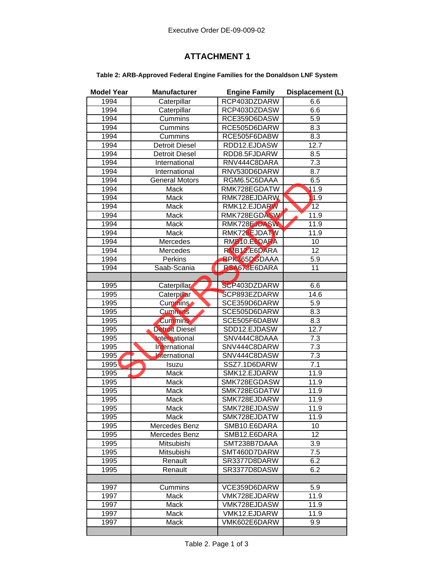## **ATTACHMENT 1**

## **Table 2: ARB-Approved Federal Engine Families for the Donaldson LNF System**

| <b>Model Year</b> | <b>Manufacturer</b>   | <b>Engine Family</b>      | Displacement (L)   |
|-------------------|-----------------------|---------------------------|--------------------|
| 1994              | Caterpillar           | RCP403DZDARW              | 6.6                |
| 1994              | Caterpillar           | RCP403DZDASW              | 6.6                |
| 1994              | Cummins               | RCE359D6DASW              | 5.9                |
| 1994              | Cummins               | RCE505D6DARW              | 8.3                |
| 1994              | Cummins               | RCE505F6DABW              | 8.3                |
| 1994              | <b>Detroit Diesel</b> | RDD12.EJDASW              | 12.7               |
| 1994              | <b>Detroit Diesel</b> | RDD8.5FJDARW              | 8.5                |
| 1994              | International         | RNV444C8DARA              | 7.3                |
| 1994              | International         | RNV530D6DARW              | 8.7                |
| 1994              | <b>General Motors</b> | RGM6.5C6DAAA              | 6.5                |
| 1994              | Mack                  | RMK728EGDATW              | $\overline{1}$ 1.9 |
| 1994              | Mack                  | RMK728EJDARW              | 1.9                |
| 1994              | Mack                  | RMK12.EJDARW              | 12                 |
| 1994              | Mack                  | RMK728EGDASW              | 11.9               |
| 1994              | Mack                  | RMK728EJDASW              | 11.9               |
| 1994              | Mack                  | RMK728EJDATW              | 11.9               |
| 1994              | Mercedes              | RMB10.E6DARA              | $\overline{10}$    |
| 1994              | Mercedes              | RMB <sub>12</sub> .E6DARA | $\overline{12}$    |
| 1994              | <b>Perkins</b>        | <b>RPK365DGDAAA</b>       | 5.9                |
| 1994              | Saab-Scania           | RSA673E6DARA              | 11                 |
|                   |                       |                           |                    |
| 1995              | Caterpillar           | SCP403DZDARW              | 6.6                |
| 1995              | Caterpillar           | SCP893EZDARW              | 14.6               |
| 1995              | Cummins               | SCE359D6DARW              | 5.9                |
| 1995              | <b>Cummins</b>        | SCE505D6DARW              | 8.3                |
| 1995              | <b>Cummins</b>        | SCE505F6DABW              | 8.3                |
| 1995              | <b>Detroit Diesel</b> | SDD12.EJDASW              | 12.7               |
| 1995              | International         | SNV444C8DAAA              | 7.3                |
| 1995              | International         | SNV444C8DARW              | 7.3                |
| 1995              | International         | SNV444C8DASW              | 7.3                |
| 1995              | Isuzu                 | SSZ7.1D6DARW              | $\overline{7.1}$   |
| 1995              | Mack                  | SMK12.EJDARW              | 11.9               |
| 1995              | Mack                  | SMK728EGDASW              | 11.9               |
| 1995              | Mack                  | SMK728EGDATW              | 11.9               |
| 1995              | Mack                  | SMK728EJDARW              | 11.9               |
| 1995              | <b>Mack</b>           | SMK728EJDASW              | 11.9               |
| 1995              | Mack                  | SMK728EJDATW              | 11.9               |
| 1995              | Mercedes Benz         | SMB10.E6DARA              | 10                 |
| 1995              | Mercedes Benz         | SMB12.E6DARA              | 12                 |
| 1995              | Mitsubishi            | SMT238B7DAAA              | 3.9                |
| 1995              | Mitsubishi            | SMT460D7DARW              | 7.5                |
| 1995              | Renault               | SR3377D8DARW              | 6.2                |
| 1995              | Renault               | SR3377D8DASW              | 6.2                |
|                   |                       |                           |                    |
| 1997              | Cummins               | VCE359D6DARW              | 5.9                |
| 1997              | Mack                  | VMK728EJDARW              | 11.9               |
| 1997              | Mack                  | VMK728EJDASW              | 11.9               |
| 1997              | Mack                  | VMK12.EJDARW              | 11.9               |
| 1997              | Mack                  | VMK602E6DARW              | 9.9                |
|                   |                       |                           |                    |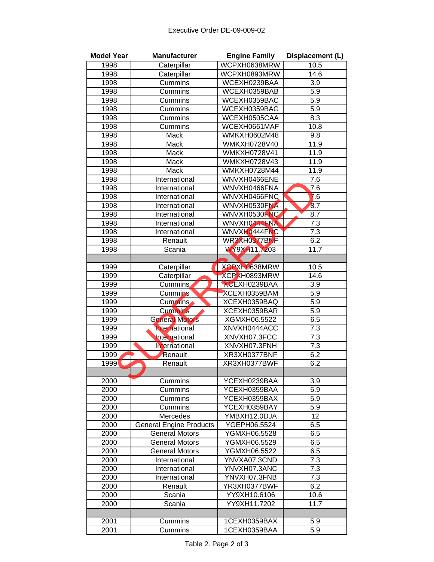| <b>Model Year</b> | <b>Manufacturer</b>            | <b>Engine Family</b> | Displacement (L) |
|-------------------|--------------------------------|----------------------|------------------|
| 1998              | Caterpillar                    | WCPXH0638MRW         | 10.5             |
| 1998              | Caterpillar                    | WCPXH0893MRW         | 14.6             |
| 1998              | Cummins                        | WCEXH0239BAA         | 3.9              |
| 1998              | Cummins                        | WCEXH0359BAB         | 5.9              |
| 1998              | Cummins                        | WCEXH0359BAC         | $\overline{5.9}$ |
| 1998              | Cummins                        | WCEXH0359BAG         | 5.9              |
| 1998              | Cummins                        | WCEXH0505CAA         | 8.3              |
| 1998              | Cummins                        | WCEXH0661MAF         | 10.8             |
| 1998              | Mack                           | WMKXH0602M48         | 9.8              |
| 1998              | Mack                           | WMKXH0728V40         | 11.9             |
| 1998              | Mack                           | <b>WMKXH0728V41</b>  | 11.9             |
| 1998              | Mack                           | WMKXH0728V43         | 11.9             |
| 1998              | Mack                           | WMKXH0728M44         | 11.9             |
| 1998              | International                  | WNVXH0466ENE         | 7.6              |
| 1998              | International                  | WNVXH0466FNA         | $\overline{7.6}$ |
| 1998              | International                  | WNVXH0466FNC         | 76               |
| 1998              | International                  | WNVXH0530FNA         | 8.7              |
| 1998              | International                  | WNVXH0530FNC         | 8.7              |
| 1998              | International                  | WNVXH0444FNA         | 7.3              |
| 1998              | International                  | WNVXH0444FNC         | $7.\overline{3}$ |
| 1998              | Renault                        | WR3XH0377BNF         | 6.2              |
| 1998              | Scania                         | WY9XH11.7203         | 11.7             |
|                   |                                |                      |                  |
| 1999              | Caterpillar                    | XCPXH0638MRW         | 10.5             |
| 1999              | Caterpillar                    | XCPXH0893MRW         | 14.6             |
| 1999              | Cummins                        | XCEXH0239BAA         | 3.9              |
| 1999              | Cummins                        | XCEXH0359BAM         | 5.9              |
| 1999              | Cummins                        | XCEXH0359BAQ         | 5.9              |
| 1999              | <b>Cummins</b>                 | XCEXH0359BAR         | 5.9              |
| 1999              | <b>General Motors</b>          | XGMXH06.5522         | 6.5              |
| 1999              | International                  | XNVXH0444ACC         | 7.3              |
| 1999              | <b>International</b>           | XNVXH07.3FCC         | 7.3              |
| 1999              | International                  | XNVXH07.3FNH         | $7.\overline{3}$ |
| 1999              | Renault                        | XR3XH0377BNF         | 6.2              |
| 1999              | Renault                        | XR3XH0377BWF         | 6.2              |
|                   |                                |                      |                  |
| 2000              | Cummins                        | YCEXH0239BAA         | 3.9              |
| 2000              | Cummins                        | YCEXH0359BAA         | 5.9              |
| 2000              | Cummins                        | YCEXH0359BAX         | 5.9              |
| 2000              | Cummins                        | YCEXH0359BAY         | 5.9              |
| 2000              | Mercedes                       | YMBXH12.0DJA         | 12               |
| 2000              | <b>General Engine Products</b> | YGEPH06.5524         | 6.5              |
| 2000              | <b>General Motors</b>          | YGMXH06.5528         | 6.5              |
| 2000              | <b>General Motors</b>          | YGMXH06.5529         | 6.5              |
| 2000              | <b>General Motors</b>          | YGMXH06.5522         | 6.5              |
| 2000              | International                  | YNVXA07.3CND         | 7.3              |
| 2000              | International                  | YNVXH07.3ANC         | 7.3              |
| 2000              | International                  | YNVXH07.3FNB         | 7.3              |
| 2000              | Renault                        | YR3XH0377BWF         | 6.2              |
| 2000              | Scania                         | YY9XH10.6106         | 10.6             |
| 2000              | Scania                         | YY9XH11.7202         | 11.7             |
|                   |                                |                      |                  |
| 2001              | Cummins                        | 1CEXH0359BAX         | 5.9              |
| 2001              | Cummins                        | 1CEXH0359BAA         | 5.9              |
|                   |                                |                      |                  |